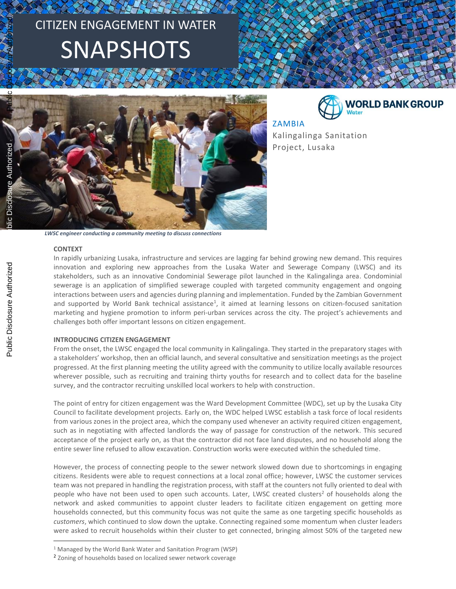# CITIZEN ENGAGEMENT IN WATER SNAPSHOTS





ZAMBIA Kalingalinga Sanitation Project, Lusaka

*LWSC engineer conducting a community meeting to discuss connections*

#### **CONTEXT**

 $\overline{\phantom{a}}$ 

In rapidly urbanizing Lusaka, infrastructure and services are lagging far behind growing new demand. This requires innovation and exploring new approaches from the Lusaka Water and Sewerage Company (LWSC) and its stakeholders, such as an innovative Condominial Sewerage pilot launched in the Kalingalinga area. Condominial sewerage is an application of simplified sewerage coupled with targeted community engagement and ongoing interactions between users and agencies during planning and implementation. Funded by the Zambian Government and supported by World Bank technical assistance<sup>1</sup>, it aimed at learning lessons on citizen-focused sanitation marketing and hygiene promotion to inform peri-urban services across the city. The project's achievements and challenges both offer important lessons on citizen engagement.

## **INTRODUCING CITIZEN ENGAGEMENT**

From the onset, the LWSC engaged the local community in Kalingalinga. They started in the preparatory stages with a stakeholders' workshop, then an official launch, and several consultative and sensitization meetings as the project progressed. At the first planning meeting the utility agreed with the community to utilize locally available resources wherever possible, such as recruiting and training thirty youths for research and to collect data for the baseline survey, and the contractor recruiting unskilled local workers to help with construction.

The point of entry for citizen engagement was the Ward Development Committee (WDC), set up by the Lusaka City Council to facilitate development projects. Early on, the WDC helped LWSC establish a task force of local residents from various zones in the project area, which the company used whenever an activity required citizen engagement, such as in negotiating with affected landlords the way of passage for construction of the network. This secured acceptance of the project early on, as that the contractor did not face land disputes, and no household along the entire sewer line refused to allow excavation. Construction works were executed within the scheduled time.

However, the process of connecting people to the sewer network slowed down due to shortcomings in engaging citizens. Residents were able to request connections at a local zonal office; however, LWSC the customer services team was not prepared in handling the registration process, with staff at the counters not fully oriented to deal with people who have not been used to open such accounts. Later, LWSC created clusters<sup>2</sup> of households along the network and asked communities to appoint cluster leaders to facilitate citizen engagement on getting more households connected, but this community focus was not quite the same as one targeting specific households as *customers*, which continued to slow down the uptake. Connecting regained some momentum when cluster leaders were asked to recruit households within their cluster to get connected, bringing almost 50% of the targeted new

<sup>1</sup> Managed by the World Bank Water and Sanitation Program (WSP)

<sup>&</sup>lt;sup>2</sup> Zoning of households based on localized sewer network coverage